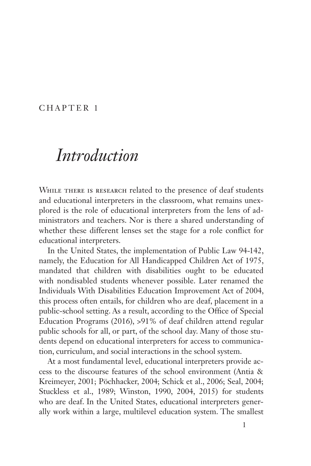#### CHAPTER 1

# *Introduction*

WHILE THERE IS RESEARCH related to the presence of deaf students and educational interpreters in the classroom, what remains unexplored is the role of educational interpreters from the lens of administrators and teachers. Nor is there a shared understanding of whether these different lenses set the stage for a role conflict for educational interpreters.

In the United States, the implementation of Public Law 94-142, namely, the Education for All Handicapped Children Act of 1975, mandated that children with disabilities ought to be educated with nondisabled students whenever possible. Later renamed the Individuals With Disabilities Education Improvement Act of 2004, this process often entails, for children who are deaf, placement in a public-school setting. As a result, according to the Office of Special Education Programs (2016), >91% of deaf children attend regular public schools for all, or part, of the school day. Many of those students depend on educational interpreters for access to communication, curriculum, and social interactions in the school system.

At a most fundamental level, educational interpreters provide access to the discourse features of the school environment (Antia & Kreimeyer, 2001; Pöchhacker, 2004; Schick et al., 2006; Seal, 2004; Stuckless et al., 1989; Winston, 1990, 2004, 2015) for students who are deaf. In the United States, educational interpreters generally work within a large, multilevel education system. The smallest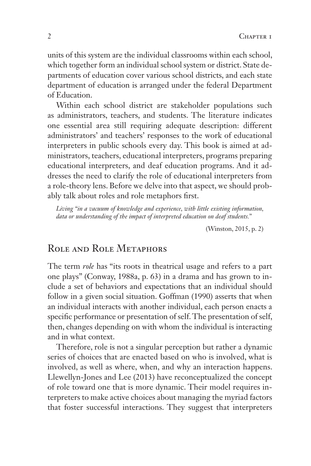units of this system are the individual classrooms within each school, which together form an individual school system or district. State departments of education cover various school districts, and each state department of education is arranged under the federal Department of Education.

Within each school district are stakeholder populations such as administrators, teachers, and students. The literature indicates one essential area still requiring adequate description: different administrators' and teachers' responses to the work of educational interpreters in public schools every day. This book is aimed at administrators, teachers, educational interpreters, programs preparing educational interpreters, and deaf education programs. And it addresses the need to clarify the role of educational interpreters from a role-theory lens. Before we delve into that aspect, we should probably talk about roles and role metaphors first.

*Living "in a vacuum of knowledge and experience, with little existing information, data or understanding of the impact of interpreted education on deaf students."*

(Winston, 2015, p. 2)

#### Role and Role Metaphors

The term *role* has "its roots in theatrical usage and refers to a part one plays" (Conway, 1988a, p. 63) in a drama and has grown to include a set of behaviors and expectations that an individual should follow in a given social situation. Goffman (1990) asserts that when an individual interacts with another individual, each person enacts a specific performance or presentation of self. The presentation of self, then, changes depending on with whom the individual is interacting and in what context.

Therefore, role is not a singular perception but rather a dynamic series of choices that are enacted based on who is involved, what is involved, as well as where, when, and why an interaction happens. Llewellyn-Jones and Lee (2013) have reconceptualized the concept of role toward one that is more dynamic. Their model requires interpreters to make active choices about managing the myriad factors that foster successful interactions. They suggest that interpreters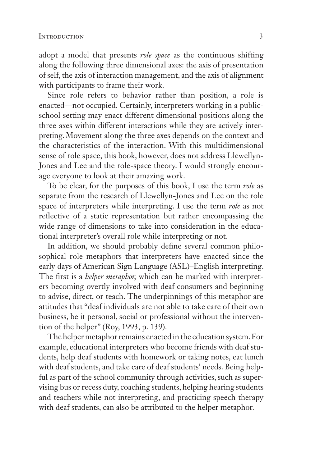adopt a model that presents *role space* as the continuous shifting along the following three dimensional axes: the axis of presentation of self, the axis of interaction management, and the axis of alignment with participants to frame their work.

Since role refers to behavior rather than position, a role is enacted—not occupied. Certainly, interpreters working in a publicschool setting may enact different dimensional positions along the three axes within different interactions while they are actively interpreting. Movement along the three axes depends on the context and the characteristics of the interaction. With this multidimensional sense of role space, this book, however, does not address Llewellyn-Jones and Lee and the role-space theory. I would strongly encourage everyone to look at their amazing work.

To be clear, for the purposes of this book, I use the term *role* as separate from the research of Llewellyn-Jones and Lee on the role space of interpreters while interpreting. I use the term *role* as not reflective of a static representation but rather encompassing the wide range of dimensions to take into consideration in the educational interpreter's overall role while interpreting or not.

In addition, we should probably define several common philosophical role metaphors that interpreters have enacted since the early days of American Sign Language (ASL)–English interpreting. The first is a *helper metaphor,* which can be marked with interpreters becoming overtly involved with deaf consumers and beginning to advise, direct, or teach. The underpinnings of this metaphor are attitudes that "deaf individuals are not able to take care of their own business, be it personal, social or professional without the intervention of the helper" (Roy, 1993, p. 139).

The helper metaphor remains enacted in the education system. For example, educational interpreters who become friends with deaf students, help deaf students with homework or taking notes, eat lunch with deaf students, and take care of deaf students' needs. Being helpful as part of the school community through activities, such as supervising bus or recess duty, coaching students, helping hearing students and teachers while not interpreting, and practicing speech therapy with deaf students, can also be attributed to the helper metaphor.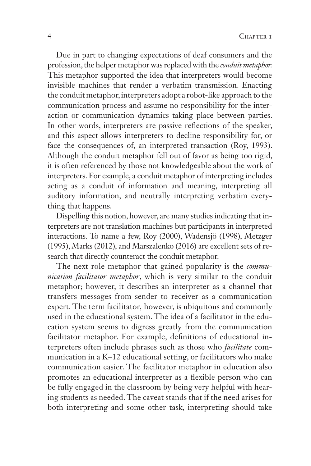Due in part to changing expectations of deaf consumers and the profession, the helper metaphor was replaced with the *conduit metaphor.*  This metaphor supported the idea that interpreters would become invisible machines that render a verbatim transmission. Enacting the conduit metaphor, interpreters adopt a robot-like approach to the communication process and assume no responsibility for the interaction or communication dynamics taking place between parties. In other words, interpreters are passive reflections of the speaker, and this aspect allows interpreters to decline responsibility for, or face the consequences of, an interpreted transaction (Roy, 1993). Although the conduit metaphor fell out of favor as being too rigid, it is often referenced by those not knowledgeable about the work of interpreters. For example, a conduit metaphor of interpreting includes acting as a conduit of information and meaning, interpreting all auditory information, and neutrally interpreting verbatim everything that happens.

Dispelling this notion, however, are many studies indicating that interpreters are not translation machines but participants in interpreted interactions. To name a few, Roy (2000), Wadensjö (1998), Metzger (1995), Marks (2012), and Marszalenko (2016) are excellent sets of research that directly counteract the conduit metaphor.

The next role metaphor that gained popularity is the *communication facilitator metaphor*, which is very similar to the conduit metaphor; however, it describes an interpreter as a channel that transfers messages from sender to receiver as a communication expert. The term facilitator*,* however, is ubiquitous and commonly used in the educational system. The idea of a facilitator in the education system seems to digress greatly from the communication facilitator metaphor. For example, definitions of educational interpreters often include phrases such as those who *facilitate* communication in a K–12 educational setting, or facilitators who make communication easier. The facilitator metaphor in education also promotes an educational interpreter as a flexible person who can be fully engaged in the classroom by being very helpful with hearing students as needed. The caveat stands that if the need arises for both interpreting and some other task, interpreting should take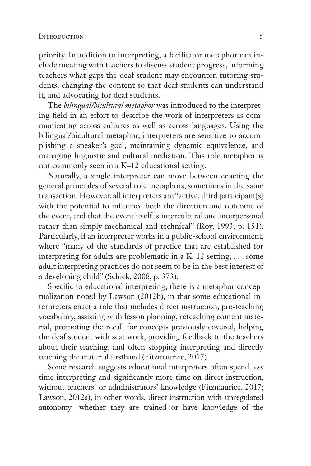priority. In addition to interpreting, a facilitator metaphor can include meeting with teachers to discuss student progress, informing teachers what gaps the deaf student may encounter, tutoring students, changing the content so that deaf students can understand it, and advocating for deaf students.

The *bilingual/bicultural metaphor* was introduced to the interpreting field in an effort to describe the work of interpreters as communicating across cultures as well as across languages. Using the bilingual/bicultural metaphor, interpreters are sensitive to accomplishing a speaker's goal, maintaining dynamic equivalence, and managing linguistic and cultural mediation. This role metaphor is not commonly seen in a K–12 educational setting.

Naturally, a single interpreter can move between enacting the general principles of several role metaphors, sometimes in the same transaction. However, all interpreters are "active, third participant[s] with the potential to influence both the direction and outcome of the event, and that the event itself is intercultural and interpersonal rather than simply mechanical and technical" (Roy, 1993, p. 151). Particularly, if an interpreter works in a public-school environment, where "many of the standards of practice that are established for interpreting for adults are problematic in a K–12 setting, . . . some adult interpreting practices do not seem to be in the best interest of a developing child" (Schick, 2008, p. 373).

Specific to educational interpreting, there is a metaphor conceptualization noted by Lawson (2012b), in that some educational interpreters enact a role that includes direct instruction, pre-teaching vocabulary, assisting with lesson planning, reteaching content material, promoting the recall for concepts previously covered, helping the deaf student with seat work, providing feedback to the teachers about their teaching, and often stopping interpreting and directly teaching the material firsthand (Fitzmaurice, 2017).

Some research suggests educational interpreters often spend less time interpreting and significantly more time on direct instruction, without teachers' or administrators' knowledge (Fitzmaurice, 2017; Lawson, 2012a), in other words, direct instruction with unregulated autonomy—whether they are trained or have knowledge of the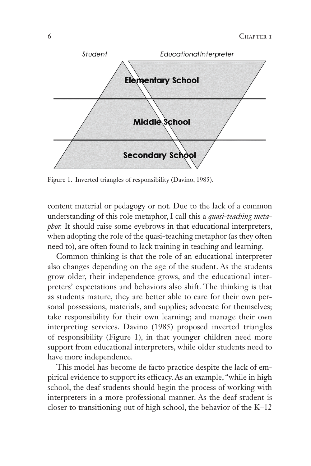

Figure 1. Inverted triangles of responsibility (Davino, 1985).

content material or pedagogy or not. Due to the lack of a common understanding of this role metaphor, I call this a *quasi-teaching metaphor.* It should raise some eyebrows in that educational interpreters, when adopting the role of the quasi-teaching metaphor (as they often need to), are often found to lack training in teaching and learning.

Common thinking is that the role of an educational interpreter also changes depending on the age of the student. As the students grow older, their independence grows, and the educational interpreters' expectations and behaviors also shift. The thinking is that as students mature, they are better able to care for their own personal possessions, materials, and supplies; advocate for themselves; take responsibility for their own learning; and manage their own interpreting services. Davino (1985) proposed inverted triangles of responsibility (Figure 1), in that younger children need more support from educational interpreters, while older students need to have more independence.

This model has become de facto practice despite the lack of empirical evidence to support its efficacy. As an example, "while in high school, the deaf students should begin the process of working with interpreters in a more professional manner. As the deaf student is closer to transitioning out of high school, the behavior of the K–12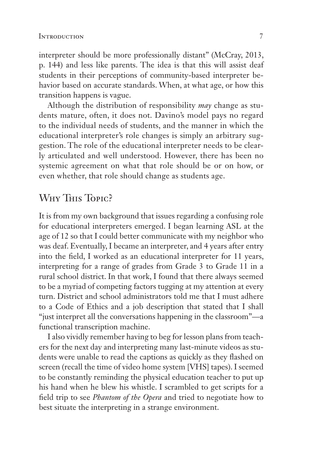interpreter should be more professionally distant" (McCray, 2013, p. 144) and less like parents. The idea is that this will assist deaf students in their perceptions of community-based interpreter behavior based on accurate standards. When, at what age, or how this transition happens is vague.

Although the distribution of responsibility *may* change as students mature, often, it does not. Davino's model pays no regard to the individual needs of students, and the manner in which the educational interpreter's role changes is simply an arbitrary suggestion. The role of the educational interpreter needs to be clearly articulated and well understood. However, there has been no systemic agreement on what that role should be or on how, or even whether, that role should change as students age.

### Why This Topic?

It is from my own background that issues regarding a confusing role for educational interpreters emerged. I began learning ASL at the age of 12 so that I could better communicate with my neighbor who was deaf. Eventually, I became an interpreter, and 4 years after entry into the field, I worked as an educational interpreter for 11 years, interpreting for a range of grades from Grade 3 to Grade 11 in a rural school district. In that work, I found that there always seemed to be a myriad of competing factors tugging at my attention at every turn. District and school administrators told me that I must adhere to a Code of Ethics and a job description that stated that I shall "just interpret all the conversations happening in the classroom"—a functional transcription machine.

I also vividly remember having to beg for lesson plans from teachers for the next day and interpreting many last-minute videos as students were unable to read the captions as quickly as they flashed on screen (recall the time of video home system [VHS] tapes). I seemed to be constantly reminding the physical education teacher to put up his hand when he blew his whistle. I scrambled to get scripts for a field trip to see *Phantom of the Opera* and tried to negotiate how to best situate the interpreting in a strange environment.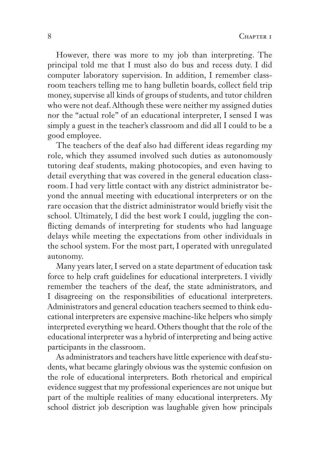However, there was more to my job than interpreting. The principal told me that I must also do bus and recess duty. I did computer laboratory supervision. In addition, I remember classroom teachers telling me to hang bulletin boards, collect field trip money, supervise all kinds of groups of students, and tutor children who were not deaf. Although these were neither my assigned duties nor the "actual role" of an educational interpreter, I sensed I was simply a guest in the teacher's classroom and did all I could to be a good employee.

The teachers of the deaf also had different ideas regarding my role, which they assumed involved such duties as autonomously tutoring deaf students, making photocopies, and even having to detail everything that was covered in the general education classroom. I had very little contact with any district administrator beyond the annual meeting with educational interpreters or on the rare occasion that the district administrator would briefly visit the school. Ultimately, I did the best work I could, juggling the conflicting demands of interpreting for students who had language delays while meeting the expectations from other individuals in the school system. For the most part, I operated with unregulated autonomy.

Many years later, I served on a state department of education task force to help craft guidelines for educational interpreters. I vividly remember the teachers of the deaf, the state administrators, and I disagreeing on the responsibilities of educational interpreters. Administrators and general education teachers seemed to think educational interpreters are expensive machine-like helpers who simply interpreted everything we heard. Others thought that the role of the educational interpreter was a hybrid of interpreting and being active participants in the classroom.

As administrators and teachers have little experience with deaf students, what became glaringly obvious was the systemic confusion on the role of educational interpreters. Both rhetorical and empirical evidence suggest that my professional experiences are not unique but part of the multiple realities of many educational interpreters. My school district job description was laughable given how principals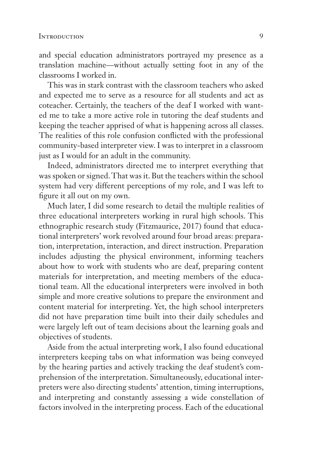and special education administrators portrayed my presence as a translation machine—without actually setting foot in any of the classrooms I worked in.

This was in stark contrast with the classroom teachers who asked and expected me to serve as a resource for all students and act as coteacher. Certainly, the teachers of the deaf I worked with wanted me to take a more active role in tutoring the deaf students and keeping the teacher apprised of what is happening across all classes. The realities of this role confusion conflicted with the professional community-based interpreter view. I was to interpret in a classroom just as I would for an adult in the community.

Indeed, administrators directed me to interpret everything that was spoken or signed. That was it. But the teachers within the school system had very different perceptions of my role, and I was left to figure it all out on my own.

Much later, I did some research to detail the multiple realities of three educational interpreters working in rural high schools. This ethnographic research study (Fitzmaurice, 2017) found that educational interpreters' work revolved around four broad areas: preparation, interpretation, interaction, and direct instruction. Preparation includes adjusting the physical environment, informing teachers about how to work with students who are deaf, preparing content materials for interpretation, and meeting members of the educational team. All the educational interpreters were involved in both simple and more creative solutions to prepare the environment and content material for interpreting. Yet, the high school interpreters did not have preparation time built into their daily schedules and were largely left out of team decisions about the learning goals and objectives of students.

Aside from the actual interpreting work, I also found educational interpreters keeping tabs on what information was being conveyed by the hearing parties and actively tracking the deaf student's comprehension of the interpretation. Simultaneously, educational interpreters were also directing students' attention, timing interruptions, and interpreting and constantly assessing a wide constellation of factors involved in the interpreting process. Each of the educational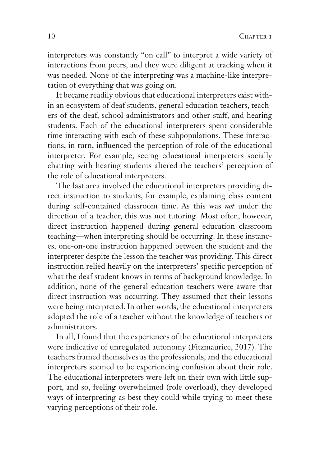interpreters was constantly "on call" to interpret a wide variety of interactions from peers, and they were diligent at tracking when it was needed. None of the interpreting was a machine-like interpretation of everything that was going on.

It became readily obvious that educational interpreters exist within an ecosystem of deaf students, general education teachers, teachers of the deaf, school administrators and other staff, and hearing students. Each of the educational interpreters spent considerable time interacting with each of these subpopulations. These interactions, in turn, influenced the perception of role of the educational interpreter. For example, seeing educational interpreters socially chatting with hearing students altered the teachers' perception of the role of educational interpreters.

The last area involved the educational interpreters providing direct instruction to students, for example, explaining class content during self-contained classroom time. As this was *not* under the direction of a teacher, this was not tutoring. Most often, however, direct instruction happened during general education classroom teaching—when interpreting should be occurring. In these instances, one-on-one instruction happened between the student and the interpreter despite the lesson the teacher was providing. This direct instruction relied heavily on the interpreters' specific perception of what the deaf student knows in terms of background knowledge. In addition, none of the general education teachers were aware that direct instruction was occurring. They assumed that their lessons were being interpreted. In other words, the educational interpreters adopted the role of a teacher without the knowledge of teachers or administrators.

In all, I found that the experiences of the educational interpreters were indicative of unregulated autonomy (Fitzmaurice, 2017). The teachers framed themselves as the professionals, and the educational interpreters seemed to be experiencing confusion about their role. The educational interpreters were left on their own with little support, and so, feeling overwhelmed (role overload), they developed ways of interpreting as best they could while trying to meet these varying perceptions of their role.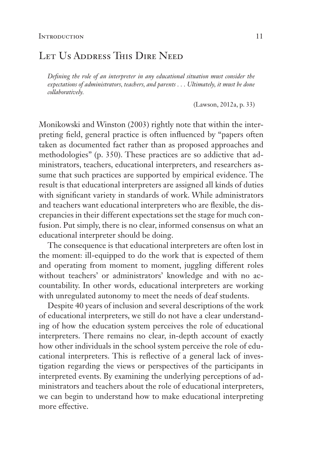## LET US ADDRESS THIS DIRE NEED

*Defining the role of an interpreter in any educational situation must consider the expectations of administrators, teachers, and parents . . . Ultimately, it must be done collaboratively.*

(Lawson, 2012a, p. 33)

Monikowski and Winston (2003) rightly note that within the interpreting field, general practice is often influenced by "papers often taken as documented fact rather than as proposed approaches and methodologies" (p. 350). These practices are so addictive that administrators, teachers, educational interpreters, and researchers assume that such practices are supported by empirical evidence. The result is that educational interpreters are assigned all kinds of duties with significant variety in standards of work. While administrators and teachers want educational interpreters who are flexible, the discrepancies in their different expectations set the stage for much confusion. Put simply, there is no clear, informed consensus on what an educational interpreter should be doing.

The consequence is that educational interpreters are often lost in the moment: ill-equipped to do the work that is expected of them and operating from moment to moment, juggling different roles without teachers' or administrators' knowledge and with no accountability. In other words, educational interpreters are working with unregulated autonomy to meet the needs of deaf students.

Despite 40 years of inclusion and several descriptions of the work of educational interpreters, we still do not have a clear understanding of how the education system perceives the role of educational interpreters. There remains no clear, in-depth account of exactly how other individuals in the school system perceive the role of educational interpreters. This is reflective of a general lack of investigation regarding the views or perspectives of the participants in interpreted events. By examining the underlying perceptions of administrators and teachers about the role of educational interpreters, we can begin to understand how to make educational interpreting more effective.